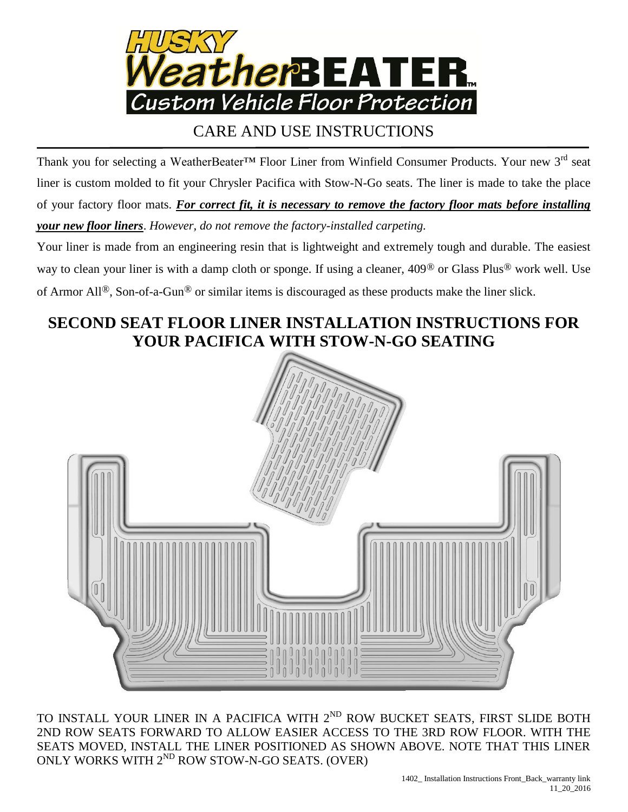

## CARE AND USE INSTRUCTIONS

Thank you for selecting a WeatherBeater<sup>™</sup> Floor Liner from Winfield Consumer Products. Your new 3<sup>rd</sup> seat liner is custom molded to fit your Chrysler Pacifica with Stow-N-Go seats. The liner is made to take the place of your factory floor mats. *For correct fit, it is necessary to remove the factory floor mats before installing your new floor liners*. *However, do not remove the factory-installed carpeting.*

Your liner is made from an engineering resin that is lightweight and extremely tough and durable. The easiest way to clean your liner is with a damp cloth or sponge. If using a cleaner, 409® or Glass Plus® work well. Use of Armor All®, Son-of-a-Gun® or similar items is discouraged as these products make the liner slick.

## **SECOND SEAT FLOOR LINER INSTALLATION INSTRUCTIONS FOR YOUR PACIFICA WITH STOW-N-GO SEATING**



TO INSTALL YOUR LINER IN A PACIFICA WITH 2<sup>ND</sup> ROW BUCKET SEATS, FIRST SLIDE BOTH 2ND ROW SEATS FORWARD TO ALLOW EASIER ACCESS TO THE 3RD ROW FLOOR. WITH THE SEATS MOVED, INSTALL THE LINER POSITIONED AS SHOWN ABOVE. NOTE THAT THIS LINER ONLY WORKS WITH 2<sup>ND</sup> ROW STOW-N-GO SEATS. (OVER)